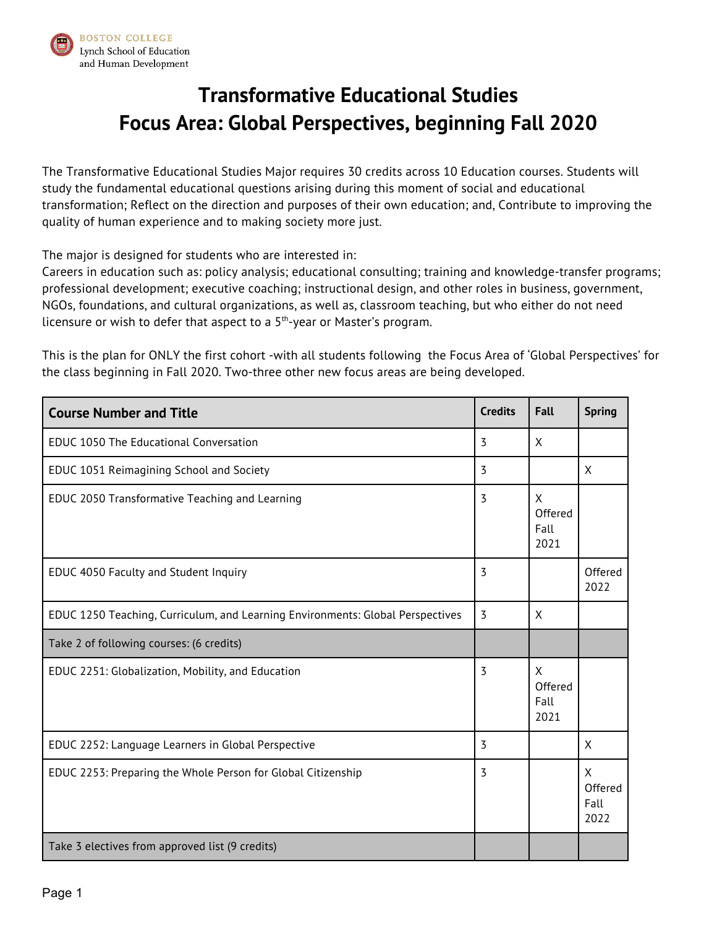

## **Transformative Educational Studies Focus Area: Global Perspectives, beginning Fall 2020**

The Transformative Educational Studies Major requires 30 credits across 10 Education courses. Students will study the fundamental educational questions arising during this moment of social and educational transformation; Reflect on the direction and purposes of their own education; and, Contribute to improving the quality of human experience and to making society more just.

The major is designed for students who are interested in:

Careers in education such as: policy analysis; educational consulting; training and knowledge-transfer programs; professional development; executive coaching; instructional design, and other roles in business, government, NGOs, foundations, and cultural organizations, as well as, classroom teaching, but who either do not need licensure or wish to defer that aspect to a 5<sup>th</sup>-year or Master's program.

This is the plan for ONLY the first cohort -with all students following the Focus Area of 'Global Perspectives' for the class beginning in Fall 2020. Two-three other new focus areas are being developed.

| <b>Course Number and Title</b>                                                 | <b>Credits</b> | <b>Fall</b>                  | <b>Spring</b>                |
|--------------------------------------------------------------------------------|----------------|------------------------------|------------------------------|
| <b>EDUC 1050 The Educational Conversation</b>                                  | 3              | X                            |                              |
| EDUC 1051 Reimagining School and Society                                       | $\overline{3}$ |                              | X                            |
| EDUC 2050 Transformative Teaching and Learning                                 | 3              | X<br>Offered<br>Fall<br>2021 |                              |
| EDUC 4050 Faculty and Student Inquiry                                          | $\overline{3}$ |                              | Offered<br>2022              |
| EDUC 1250 Teaching, Curriculum, and Learning Environments: Global Perspectives | 3              | X                            |                              |
| Take 2 of following courses: (6 credits)                                       |                |                              |                              |
| EDUC 2251: Globalization, Mobility, and Education                              | 3              | X<br>Offered<br>Fall<br>2021 |                              |
| EDUC 2252: Language Learners in Global Perspective                             | 3              |                              | X                            |
| EDUC 2253: Preparing the Whole Person for Global Citizenship                   | 3              |                              | X<br>Offered<br>Fall<br>2022 |
| Take 3 electives from approved list (9 credits)                                |                |                              |                              |